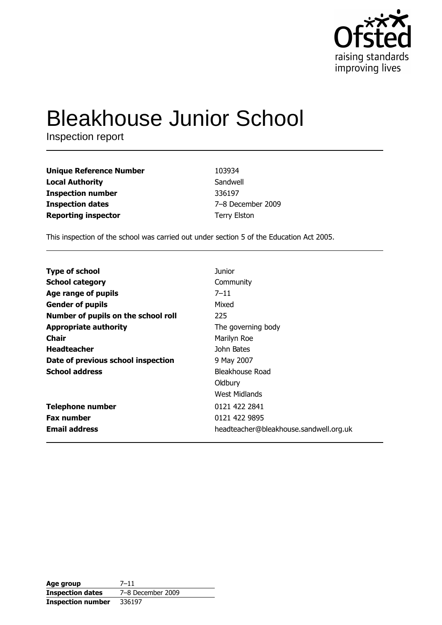

# **Bleakhouse Junior School**

Inspection report

| <b>Unique Reference Number</b> | 103934              |
|--------------------------------|---------------------|
| <b>Local Authority</b>         | Sandwell            |
| <b>Inspection number</b>       | 336197              |
| <b>Inspection dates</b>        | 7-8 December 2009   |
| <b>Reporting inspector</b>     | <b>Terry Elston</b> |

This inspection of the school was carried out under section 5 of the Education Act 2005.

| <b>Type of school</b>               | <b>Junior</b>                          |
|-------------------------------------|----------------------------------------|
| <b>School category</b>              | Community                              |
| Age range of pupils                 | $7 - 11$                               |
| <b>Gender of pupils</b>             | Mixed                                  |
| Number of pupils on the school roll | 225                                    |
| <b>Appropriate authority</b>        | The governing body                     |
| <b>Chair</b>                        | Marilyn Roe                            |
| <b>Headteacher</b>                  | John Bates                             |
| Date of previous school inspection  | 9 May 2007                             |
| <b>School address</b>               | Bleakhouse Road                        |
|                                     | Oldbury                                |
|                                     | West Midlands                          |
| <b>Telephone number</b>             | 0121 422 2841                          |
| <b>Fax number</b>                   | 0121 422 9895                          |
| <b>Email address</b>                | headteacher@bleakhouse.sandwell.org.uk |

| Age group                | $7 - 11$          |
|--------------------------|-------------------|
| <b>Inspection dates</b>  | 7-8 December 2009 |
| <b>Inspection number</b> | 336197            |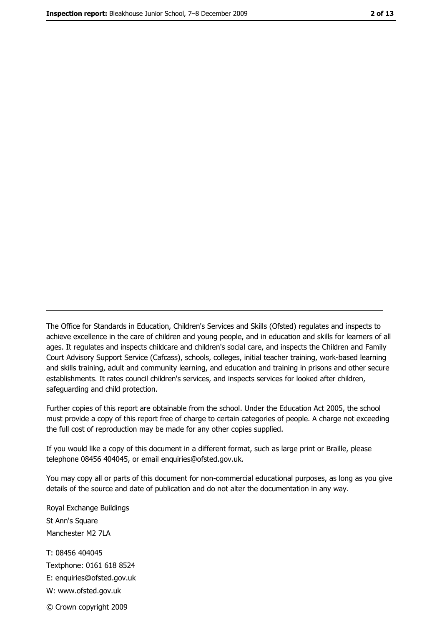The Office for Standards in Education, Children's Services and Skills (Ofsted) regulates and inspects to achieve excellence in the care of children and young people, and in education and skills for learners of all ages. It regulates and inspects childcare and children's social care, and inspects the Children and Family Court Advisory Support Service (Cafcass), schools, colleges, initial teacher training, work-based learning and skills training, adult and community learning, and education and training in prisons and other secure establishments. It rates council children's services, and inspects services for looked after children, safequarding and child protection.

Further copies of this report are obtainable from the school. Under the Education Act 2005, the school must provide a copy of this report free of charge to certain categories of people. A charge not exceeding the full cost of reproduction may be made for any other copies supplied.

If you would like a copy of this document in a different format, such as large print or Braille, please telephone 08456 404045, or email enquiries@ofsted.gov.uk.

You may copy all or parts of this document for non-commercial educational purposes, as long as you give details of the source and date of publication and do not alter the documentation in any way.

Royal Exchange Buildings St Ann's Square Manchester M2 7LA T: 08456 404045 Textphone: 0161 618 8524 E: enquiries@ofsted.gov.uk W: www.ofsted.gov.uk © Crown copyright 2009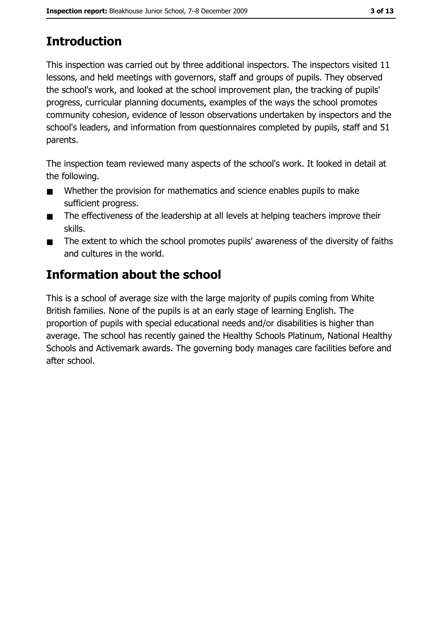# **Introduction**

This inspection was carried out by three additional inspectors. The inspectors visited 11 lessons, and held meetings with governors, staff and groups of pupils. They observed the school's work, and looked at the school improvement plan, the tracking of pupils' progress, curricular planning documents, examples of the ways the school promotes community cohesion, evidence of lesson observations undertaken by inspectors and the school's leaders, and information from questionnaires completed by pupils, staff and 51 parents.

The inspection team reviewed many aspects of the school's work. It looked in detail at the following.

- Whether the provision for mathematics and science enables pupils to make  $\blacksquare$ sufficient progress.
- The effectiveness of the leadership at all levels at helping teachers improve their  $\blacksquare$ skills.
- The extent to which the school promotes pupils' awareness of the diversity of faiths  $\blacksquare$ and cultures in the world.

## Information about the school

This is a school of average size with the large majority of pupils coming from White British families. None of the pupils is at an early stage of learning English. The proportion of pupils with special educational needs and/or disabilities is higher than average. The school has recently gained the Healthy Schools Platinum, National Healthy Schools and Activemark awards. The governing body manages care facilities before and after school.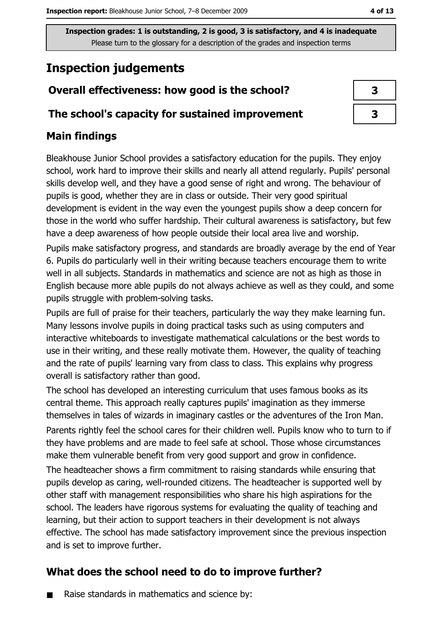## **Inspection judgements**

#### Overall effectiveness: how good is the school?

#### The school's capacity for sustained improvement

#### **Main findings**

Bleakhouse Junior School provides a satisfactory education for the pupils. They enjoy school, work hard to improve their skills and nearly all attend regularly. Pupils' personal skills develop well, and they have a good sense of right and wrong. The behaviour of pupils is good, whether they are in class or outside. Their very good spiritual development is evident in the way even the youngest pupils show a deep concern for those in the world who suffer hardship. Their cultural awareness is satisfactory, but few have a deep awareness of how people outside their local area live and worship.

Pupils make satisfactory progress, and standards are broadly average by the end of Year 6. Pupils do particularly well in their writing because teachers encourage them to write well in all subjects. Standards in mathematics and science are not as high as those in English because more able pupils do not always achieve as well as they could, and some pupils struggle with problem-solving tasks.

Pupils are full of praise for their teachers, particularly the way they make learning fun. Many lessons involve pupils in doing practical tasks such as using computers and interactive whiteboards to investigate mathematical calculations or the best words to use in their writing, and these really motivate them. However, the quality of teaching and the rate of pupils' learning vary from class to class. This explains why progress overall is satisfactory rather than good.

The school has developed an interesting curriculum that uses famous books as its central theme. This approach really captures pupils' imagination as they immerse themselves in tales of wizards in imaginary castles or the adventures of the Iron Man.

Parents rightly feel the school cares for their children well. Pupils know who to turn to if they have problems and are made to feel safe at school. Those whose circumstances make them vulnerable benefit from very good support and grow in confidence.

The headteacher shows a firm commitment to raising standards while ensuring that pupils develop as caring, well-rounded citizens. The headteacher is supported well by other staff with management responsibilities who share his high aspirations for the school. The leaders have rigorous systems for evaluating the quality of teaching and learning, but their action to support teachers in their development is not always effective. The school has made satisfactory improvement since the previous inspection and is set to improve further.

#### What does the school need to do to improve further?

Raise standards in mathematics and science by:

| 3 |  |
|---|--|
| 3 |  |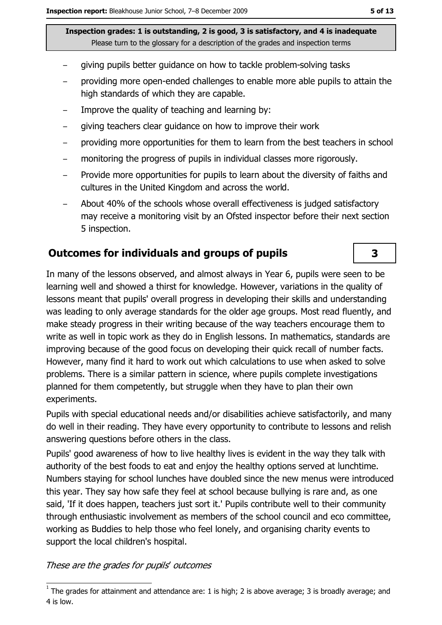- giving pupils better guidance on how to tackle problem-solving tasks
- providing more open-ended challenges to enable more able pupils to attain the high standards of which they are capable.
- Improve the quality of teaching and learning by:  $\equiv$
- giving teachers clear guidance on how to improve their work  $\equiv$
- providing more opportunities for them to learn from the best teachers in school  $\overline{\phantom{a}}$
- monitoring the progress of pupils in individual classes more rigorously.
- Provide more opportunities for pupils to learn about the diversity of faiths and cultures in the United Kingdom and across the world.
- About 40% of the schools whose overall effectiveness is judged satisfactory may receive a monitoring visit by an Ofsted inspector before their next section 5 inspection.

#### **Outcomes for individuals and groups of pupils**

In many of the lessons observed, and almost always in Year 6, pupils were seen to be learning well and showed a thirst for knowledge. However, variations in the quality of lessons meant that pupils' overall progress in developing their skills and understanding was leading to only average standards for the older age groups. Most read fluently, and make steady progress in their writing because of the way teachers encourage them to write as well in topic work as they do in English lessons. In mathematics, standards are improving because of the good focus on developing their guick recall of number facts. However, many find it hard to work out which calculations to use when asked to solve problems. There is a similar pattern in science, where pupils complete investigations planned for them competently, but struggle when they have to plan their own experiments.

Pupils with special educational needs and/or disabilities achieve satisfactorily, and many do well in their reading. They have every opportunity to contribute to lessons and relish answering questions before others in the class.

Pupils' good awareness of how to live healthy lives is evident in the way they talk with authority of the best foods to eat and enjoy the healthy options served at lunchtime. Numbers staying for school lunches have doubled since the new menus were introduced this year. They say how safe they feel at school because bullying is rare and, as one said, 'If it does happen, teachers just sort it.' Pupils contribute well to their community through enthusiastic involvement as members of the school council and eco committee, working as Buddies to help those who feel lonely, and organising charity events to support the local children's hospital.

These are the grades for pupils' outcomes

3

 $\overline{1}$  The grades for attainment and attendance are: 1 is high; 2 is above average; 3 is broadly average; and 4 is low.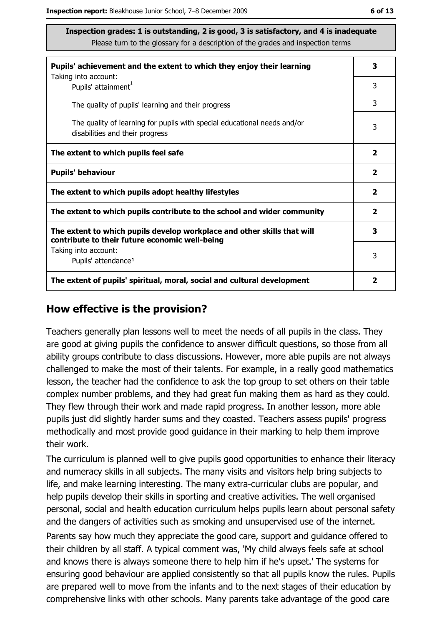| Pupils' achievement and the extent to which they enjoy their learning                                                     |                |
|---------------------------------------------------------------------------------------------------------------------------|----------------|
| Taking into account:<br>Pupils' attainment <sup>1</sup>                                                                   | 3              |
| The quality of pupils' learning and their progress                                                                        | 3              |
| The quality of learning for pupils with special educational needs and/or<br>disabilities and their progress               | 3              |
| The extent to which pupils feel safe                                                                                      | $\mathbf{2}$   |
| <b>Pupils' behaviour</b>                                                                                                  | $\overline{2}$ |
| The extent to which pupils adopt healthy lifestyles                                                                       | $\mathbf{2}$   |
| The extent to which pupils contribute to the school and wider community                                                   | $\overline{2}$ |
| The extent to which pupils develop workplace and other skills that will<br>contribute to their future economic well-being | 3              |
| Taking into account:<br>Pupils' attendance <sup>1</sup>                                                                   | 3              |
| The extent of pupils' spiritual, moral, social and cultural development                                                   | 2              |

#### How effective is the provision?

Teachers generally plan lessons well to meet the needs of all pupils in the class. They are good at giving pupils the confidence to answer difficult questions, so those from all ability groups contribute to class discussions. However, more able pupils are not always challenged to make the most of their talents. For example, in a really good mathematics lesson, the teacher had the confidence to ask the top group to set others on their table complex number problems, and they had great fun making them as hard as they could. They flew through their work and made rapid progress. In another lesson, more able pupils just did slightly harder sums and they coasted. Teachers assess pupils' progress methodically and most provide good quidance in their marking to help them improve their work.

The curriculum is planned well to give pupils good opportunities to enhance their literacy and numeracy skills in all subjects. The many visits and visitors help bring subjects to life, and make learning interesting. The many extra-curricular clubs are popular, and help pupils develop their skills in sporting and creative activities. The well organised personal, social and health education curriculum helps pupils learn about personal safety and the dangers of activities such as smoking and unsupervised use of the internet.

Parents say how much they appreciate the good care, support and guidance offered to their children by all staff. A typical comment was, 'My child always feels safe at school and knows there is always someone there to help him if he's upset.' The systems for ensuring good behaviour are applied consistently so that all pupils know the rules. Pupils are prepared well to move from the infants and to the next stages of their education by comprehensive links with other schools. Many parents take advantage of the good care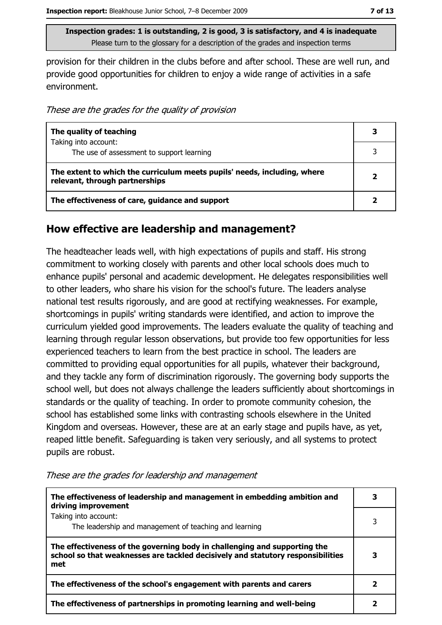provision for their children in the clubs before and after school. These are well run, and provide good opportunities for children to enjoy a wide range of activities in a safe environment.

These are the grades for the quality of provision

| The quality of teaching                                                                                    |  |
|------------------------------------------------------------------------------------------------------------|--|
| Taking into account:<br>The use of assessment to support learning                                          |  |
| The extent to which the curriculum meets pupils' needs, including, where<br>relevant, through partnerships |  |
| The effectiveness of care, guidance and support                                                            |  |

#### How effective are leadership and management?

The headteacher leads well, with high expectations of pupils and staff. His strong commitment to working closely with parents and other local schools does much to enhance pupils' personal and academic development. He delegates responsibilities well to other leaders, who share his vision for the school's future. The leaders analyse national test results rigorously, and are good at rectifying weaknesses. For example, shortcomings in pupils' writing standards were identified, and action to improve the curriculum yielded good improvements. The leaders evaluate the quality of teaching and learning through regular lesson observations, but provide too few opportunities for less experienced teachers to learn from the best practice in school. The leaders are committed to providing equal opportunities for all pupils, whatever their background, and they tackle any form of discrimination rigorously. The governing body supports the school well, but does not always challenge the leaders sufficiently about shortcomings in standards or the quality of teaching. In order to promote community cohesion, the school has established some links with contrasting schools elsewhere in the United Kingdom and overseas. However, these are at an early stage and pupils have, as yet, reaped little benefit. Safeguarding is taken very seriously, and all systems to protect pupils are robust.

| The effectiveness of leadership and management in embedding ambition and<br>driving improvement                                                                     |  |
|---------------------------------------------------------------------------------------------------------------------------------------------------------------------|--|
| Taking into account:<br>The leadership and management of teaching and learning                                                                                      |  |
| The effectiveness of the governing body in challenging and supporting the<br>school so that weaknesses are tackled decisively and statutory responsibilities<br>met |  |
| The effectiveness of the school's engagement with parents and carers                                                                                                |  |
| The effectiveness of partnerships in promoting learning and well-being                                                                                              |  |

These are the grades for leadership and management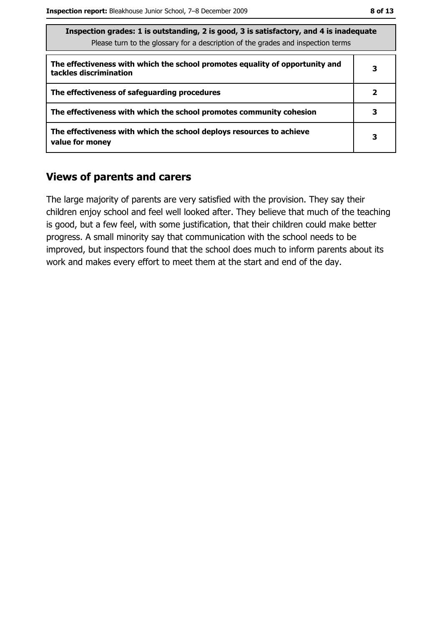| Inspection grades: 1 is outstanding, 2 is good, 3 is satisfactory, and 4 is inadequate<br>Please turn to the glossary for a description of the grades and inspection terms |              |
|----------------------------------------------------------------------------------------------------------------------------------------------------------------------------|--------------|
| The effectiveness with which the school promotes equality of opportunity and<br>tackles discrimination                                                                     | 3            |
| The effectiveness of safeguarding procedures                                                                                                                               | $\mathbf{2}$ |
| The effectiveness with which the school promotes community cohesion                                                                                                        | з            |
| The effectiveness with which the school deploys resources to achieve<br>value for money                                                                                    | 3            |

#### **Views of parents and carers**

The large majority of parents are very satisfied with the provision. They say their children enjoy school and feel well looked after. They believe that much of the teaching is good, but a few feel, with some justification, that their children could make better progress. A small minority say that communication with the school needs to be improved, but inspectors found that the school does much to inform parents about its work and makes every effort to meet them at the start and end of the day.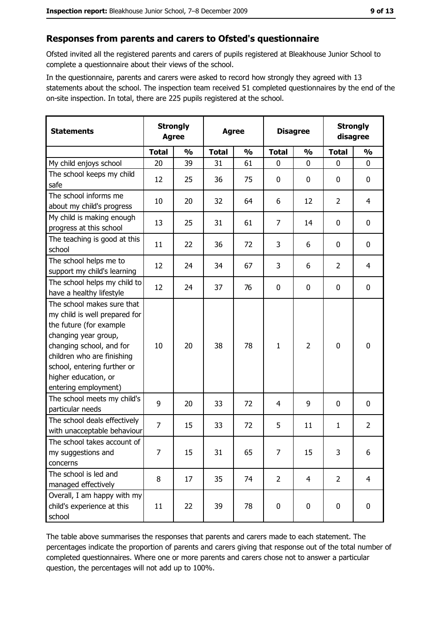#### Responses from parents and carers to Ofsted's questionnaire

Ofsted invited all the registered parents and carers of pupils registered at Bleakhouse Junior School to complete a questionnaire about their views of the school.

In the questionnaire, parents and carers were asked to record how strongly they agreed with 13 statements about the school. The inspection team received 51 completed questionnaires by the end of the on-site inspection. In total, there are 225 pupils registered at the school.

| <b>Statements</b>                                                                                                                                                                                                                                       | <b>Strongly</b><br><b>Agree</b> |               | <b>Agree</b> |               | <b>Disagree</b> |                | <b>Strongly</b><br>disagree |                |
|---------------------------------------------------------------------------------------------------------------------------------------------------------------------------------------------------------------------------------------------------------|---------------------------------|---------------|--------------|---------------|-----------------|----------------|-----------------------------|----------------|
|                                                                                                                                                                                                                                                         | <b>Total</b>                    | $\frac{0}{0}$ | <b>Total</b> | $\frac{0}{0}$ | <b>Total</b>    | $\frac{0}{0}$  | <b>Total</b>                | $\frac{0}{0}$  |
| My child enjoys school                                                                                                                                                                                                                                  | 20                              | 39            | 31           | 61            | $\mathbf{0}$    | 0              | $\mathbf{0}$                | $\overline{0}$ |
| The school keeps my child<br>safe                                                                                                                                                                                                                       | 12                              | 25            | 36           | 75            | $\mathbf 0$     | 0              | $\mathbf{0}$                | 0              |
| The school informs me<br>about my child's progress                                                                                                                                                                                                      | 10                              | 20            | 32           | 64            | 6               | 12             | $\overline{2}$              | 4              |
| My child is making enough<br>progress at this school                                                                                                                                                                                                    | 13                              | 25            | 31           | 61            | $\overline{7}$  | 14             | 0                           | 0              |
| The teaching is good at this<br>school                                                                                                                                                                                                                  | 11                              | 22            | 36           | 72            | 3               | 6              | 0                           | 0              |
| The school helps me to<br>support my child's learning                                                                                                                                                                                                   | 12                              | 24            | 34           | 67            | 3               | 6              | $\overline{2}$              | $\overline{4}$ |
| The school helps my child to<br>have a healthy lifestyle                                                                                                                                                                                                | 12                              | 24            | 37           | 76            | $\mathbf 0$     | 0              | 0                           | 0              |
| The school makes sure that<br>my child is well prepared for<br>the future (for example<br>changing year group,<br>changing school, and for<br>children who are finishing<br>school, entering further or<br>higher education, or<br>entering employment) | 10                              | 20            | 38           | 78            | $\mathbf{1}$    | $\overline{2}$ | 0                           | 0              |
| The school meets my child's<br>particular needs                                                                                                                                                                                                         | 9                               | 20            | 33           | 72            | $\overline{4}$  | 9              | 0                           | 0              |
| The school deals effectively<br>with unacceptable behaviour                                                                                                                                                                                             | $\overline{7}$                  | 15            | 33           | 72            | 5               | 11             | $\mathbf{1}$                | $\overline{2}$ |
| The school takes account of<br>my suggestions and<br>concerns                                                                                                                                                                                           | 7                               | 15            | 31           | 65            | 7               | 15             | 3                           | 6              |
| The school is led and<br>managed effectively                                                                                                                                                                                                            | 8                               | 17            | 35           | 74            | $\overline{2}$  | $\overline{4}$ | $\overline{2}$              | $\overline{4}$ |
| Overall, I am happy with my<br>child's experience at this<br>school                                                                                                                                                                                     | 11                              | 22            | 39           | 78            | $\pmb{0}$       | 0              | $\mathbf 0$                 | 0              |

The table above summarises the responses that parents and carers made to each statement. The percentages indicate the proportion of parents and carers giving that response out of the total number of completed questionnaires. Where one or more parents and carers chose not to answer a particular question, the percentages will not add up to 100%.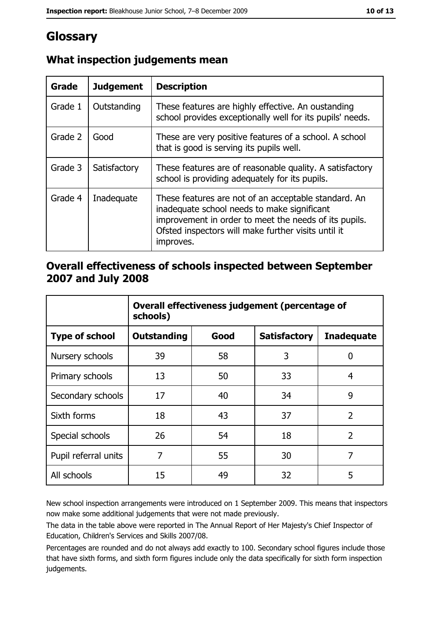# Glossary

| Grade   | <b>Judgement</b> | <b>Description</b>                                                                                                                                                                                                               |
|---------|------------------|----------------------------------------------------------------------------------------------------------------------------------------------------------------------------------------------------------------------------------|
| Grade 1 | Outstanding      | These features are highly effective. An oustanding<br>school provides exceptionally well for its pupils' needs.                                                                                                                  |
| Grade 2 | Good             | These are very positive features of a school. A school<br>that is good is serving its pupils well.                                                                                                                               |
| Grade 3 | Satisfactory     | These features are of reasonable quality. A satisfactory<br>school is providing adequately for its pupils.                                                                                                                       |
| Grade 4 | Inadequate       | These features are not of an acceptable standard. An<br>inadequate school needs to make significant<br>improvement in order to meet the needs of its pupils.<br>Ofsted inspectors will make further visits until it<br>improves. |

### What inspection judgements mean

#### Overall effectiveness of schools inspected between September 2007 and July 2008

|                       | Overall effectiveness judgement (percentage of<br>schools) |      |                     |                   |
|-----------------------|------------------------------------------------------------|------|---------------------|-------------------|
| <b>Type of school</b> | Outstanding                                                | Good | <b>Satisfactory</b> | <b>Inadequate</b> |
| Nursery schools       | 39                                                         | 58   | 3                   | 0                 |
| Primary schools       | 13                                                         | 50   | 33                  | 4                 |
| Secondary schools     | 17                                                         | 40   | 34                  | 9                 |
| Sixth forms           | 18                                                         | 43   | 37                  | $\overline{2}$    |
| Special schools       | 26                                                         | 54   | 18                  | $\overline{2}$    |
| Pupil referral units  | 7                                                          | 55   | 30                  | 7                 |
| All schools           | 15                                                         | 49   | 32                  | 5                 |

New school inspection arrangements were introduced on 1 September 2009. This means that inspectors now make some additional judgements that were not made previously.

The data in the table above were reported in The Annual Report of Her Majesty's Chief Inspector of Education, Children's Services and Skills 2007/08.

Percentages are rounded and do not always add exactly to 100. Secondary school figures include those that have sixth forms, and sixth form figures include only the data specifically for sixth form inspection judgements.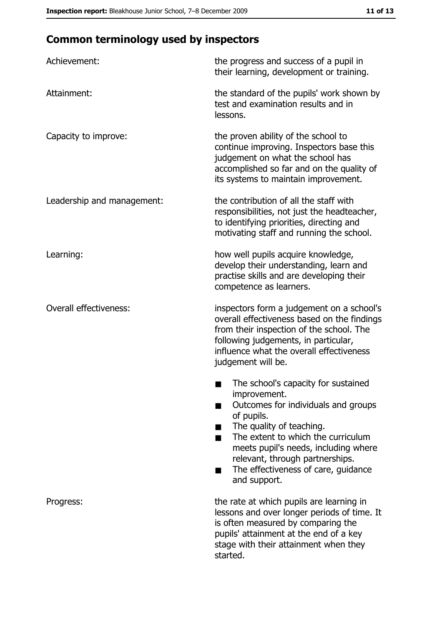## **Common terminology used by inspectors**

| Achievement:                  | the progress and success of a pupil in<br>their learning, development or training.                                                                                                                                                                                                                           |
|-------------------------------|--------------------------------------------------------------------------------------------------------------------------------------------------------------------------------------------------------------------------------------------------------------------------------------------------------------|
| Attainment:                   | the standard of the pupils' work shown by<br>test and examination results and in<br>lessons.                                                                                                                                                                                                                 |
| Capacity to improve:          | the proven ability of the school to<br>continue improving. Inspectors base this<br>judgement on what the school has<br>accomplished so far and on the quality of<br>its systems to maintain improvement.                                                                                                     |
| Leadership and management:    | the contribution of all the staff with<br>responsibilities, not just the headteacher,<br>to identifying priorities, directing and<br>motivating staff and running the school.                                                                                                                                |
| Learning:                     | how well pupils acquire knowledge,<br>develop their understanding, learn and<br>practise skills and are developing their<br>competence as learners.                                                                                                                                                          |
| <b>Overall effectiveness:</b> | inspectors form a judgement on a school's<br>overall effectiveness based on the findings<br>from their inspection of the school. The<br>following judgements, in particular,<br>influence what the overall effectiveness<br>judgement will be.                                                               |
|                               | The school's capacity for sustained<br>improvement.<br>Outcomes for individuals and groups<br>of pupils.<br>The quality of teaching.<br>The extent to which the curriculum<br>meets pupil's needs, including where<br>relevant, through partnerships.<br>The effectiveness of care, guidance<br>and support. |
| Progress:                     | the rate at which pupils are learning in<br>lessons and over longer periods of time. It<br>is often measured by comparing the<br>pupils' attainment at the end of a key<br>stage with their attainment when they<br>started.                                                                                 |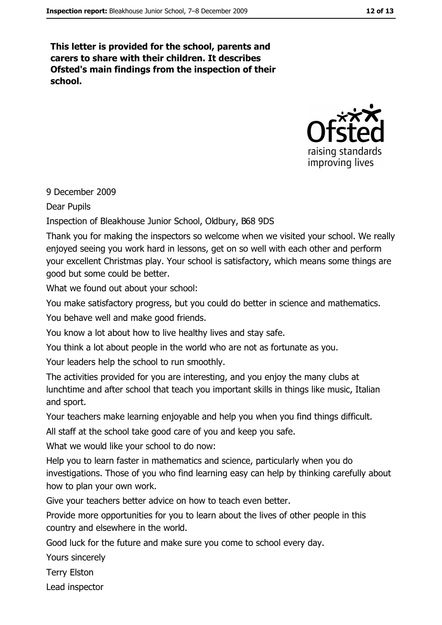This letter is provided for the school, parents and carers to share with their children. It describes Ofsted's main findings from the inspection of their school.



9 December 2009

**Dear Pupils** 

Inspection of Bleakhouse Junior School, Oldbury, B68 9DS

Thank you for making the inspectors so welcome when we visited your school. We really enjoyed seeing you work hard in lessons, get on so well with each other and perform your excellent Christmas play. Your school is satisfactory, which means some things are good but some could be better.

What we found out about your school:

You make satisfactory progress, but you could do better in science and mathematics.

You behave well and make good friends.

You know a lot about how to live healthy lives and stav safe.

You think a lot about people in the world who are not as fortunate as you.

Your leaders help the school to run smoothly.

The activities provided for you are interesting, and you enjoy the many clubs at lunchtime and after school that teach you important skills in things like music, Italian and sport.

Your teachers make learning enjoyable and help you when you find things difficult.

All staff at the school take good care of you and keep you safe.

What we would like your school to do now:

Help you to learn faster in mathematics and science, particularly when you do investigations. Those of you who find learning easy can help by thinking carefully about how to plan your own work.

Give your teachers better advice on how to teach even better.

Provide more opportunities for you to learn about the lives of other people in this country and elsewhere in the world.

Good luck for the future and make sure you come to school every day.

Yours sincerely

**Terry Elston** 

Lead inspector